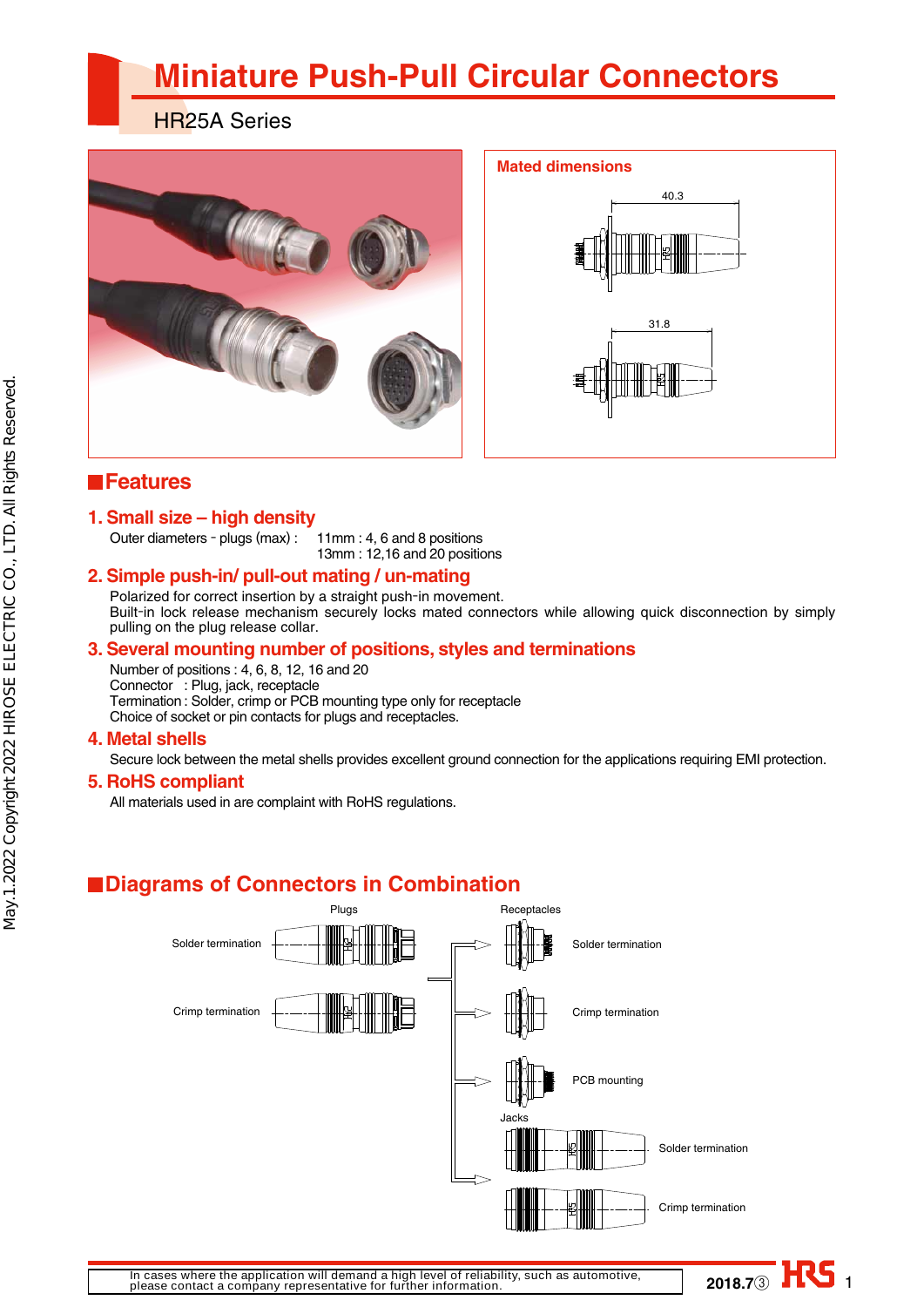# **Miniature Push-Pull Circular Connectors**

HR25A Series





**2018.7**③ HRS

### **Features**

### **1. Small size – high density**

Outer diameters - plugs (max) : 11mm : 4, 6 and 8 positions

13mm : 12,16 and 20 positions

### **2. Simple push-in/ pull-out mating / un-mating**

Polarized for correct insertion by a straight push-in movement. Built-in lock release mechanism securely locks mated connectors while allowing quick disconnection by simply pulling on the plug release collar.

### **3. Several mounting number of positions, styles and terminations**

Number of positions : 4, 6, 8, 12, 16 and 20 Connector : Plug, jack, receptacle Termination : Solder, crimp or PCB mounting type only for receptacle Choice of socket or pin contacts for plugs and receptacles.

### **4. Metal shells**

May.1.2022 Copyright 2022 HIROSE ELECTRIC CO., LTD. All Rights Reserved.

May.1.2022 Copyright 2022 HIROSE ELECTRIC CO., LTD. All Rights Reserved.

Secure lock between the metal shells provides excellent ground connection for the applications requiring EMI protection.

### **5. RoHS compliant**

All materials used in are complaint with RoHS regulations.

## **Diagrams of Connectors in Combination**

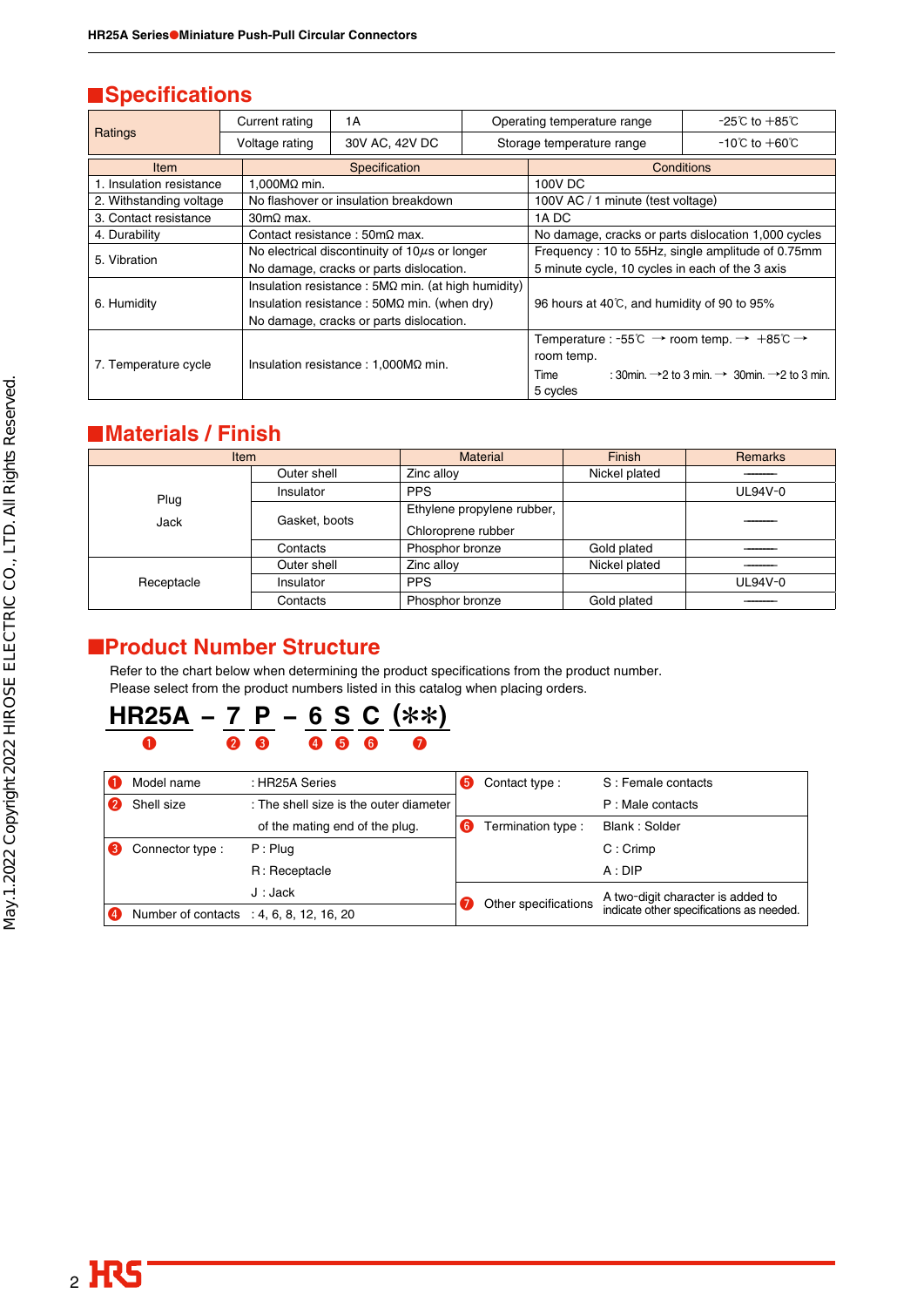### **N**Specifications

|                          | Current rating                              | 1 A                                                        |                                                                                     | Operating temperature range                         | -25℃ to $+85^\circ$ C                                                             |  |
|--------------------------|---------------------------------------------|------------------------------------------------------------|-------------------------------------------------------------------------------------|-----------------------------------------------------|-----------------------------------------------------------------------------------|--|
| Ratings                  | Voltage rating                              | 30V AC, 42V DC                                             |                                                                                     | Storage temperature range                           | -10℃ to $+60^{\circ}$ C                                                           |  |
| <b>Item</b>              |                                             | Specification                                              |                                                                                     |                                                     | Conditions                                                                        |  |
| 1. Insulation resistance | 1,000MΩ min.                                |                                                            |                                                                                     | 100V DC                                             |                                                                                   |  |
| 2. Withstanding voltage  |                                             | No flashover or insulation breakdown                       |                                                                                     | 100V AC / 1 minute (test voltage)                   |                                                                                   |  |
| 3. Contact resistance    | $30 \text{m}\Omega$ max.                    |                                                            |                                                                                     | 1A DC                                               |                                                                                   |  |
| 4. Durability            |                                             | Contact resistance : $50 \text{m}\Omega$ max.              |                                                                                     | No damage, cracks or parts dislocation 1,000 cycles |                                                                                   |  |
| 5. Vibration             |                                             | No electrical discontinuity of $10\mu s$ or longer         |                                                                                     | Frequency: 10 to 55Hz, single amplitude of 0.75mm   |                                                                                   |  |
|                          |                                             | No damage, cracks or parts dislocation.                    |                                                                                     | 5 minute cycle, 10 cycles in each of the 3 axis     |                                                                                   |  |
|                          |                                             | Insulation resistance : $5M\Omega$ min. (at high humidity) |                                                                                     |                                                     |                                                                                   |  |
| 6. Humidity              |                                             | Insulation resistance : $50M\Omega$ min. (when dry)        |                                                                                     | 96 hours at 40°C, and humidity of 90 to 95%         |                                                                                   |  |
|                          |                                             | No damage, cracks or parts dislocation.                    |                                                                                     |                                                     |                                                                                   |  |
|                          |                                             |                                                            | Temperature : -55°C $\rightarrow$ room temp. $\rightarrow +85^{\circ}C \rightarrow$ |                                                     |                                                                                   |  |
|                          |                                             |                                                            |                                                                                     | room temp.                                          |                                                                                   |  |
| 7. Temperature cycle     | Insulation resistance : $1,000M\Omega$ min. |                                                            |                                                                                     | Time                                                | : 30min. $\rightarrow$ 2 to 3 min. $\rightarrow$ 30min. $\rightarrow$ 2 to 3 min. |  |
|                          |                                             |                                                            |                                                                                     | 5 cycles                                            |                                                                                   |  |

### **Materials / Finish**

| <b>Item</b>  |               | <b>Material</b>                                  | Finish        | <b>Remarks</b> |
|--------------|---------------|--------------------------------------------------|---------------|----------------|
|              | Outer shell   | Zinc alloy                                       | Nickel plated |                |
|              | Insulator     | <b>PPS</b>                                       |               | UL94V-0        |
| Plug<br>Jack | Gasket, boots | Ethylene propylene rubber,<br>Chloroprene rubber |               |                |
|              | Contacts      | Phosphor bronze                                  | Gold plated   |                |
|              | Outer shell   | Zinc alloy                                       | Nickel plated |                |
| Receptacle   | Insulator     | <b>PPS</b>                                       |               | UL94V-0        |
|              | Contacts      | Phosphor bronze                                  | Gold plated   |                |

### ■**Product Number Structure**

Refer to the chart below when determining the product specifications from the product number. Please select from the product numbers listed in this catalog when placing orders.

### **HR25A − 7 P − 6 S C (**\*\***)**  $\begin{array}{ccccc} \textbf{0} & \textbf{0} & \textbf{0} & \textbf{0} & \textbf{0} & \textbf{0} & \textbf{0} \end{array}$

|                | Model name                               | : HR25A Series                         | Contact type:        | S: Female contacts                       |
|----------------|------------------------------------------|----------------------------------------|----------------------|------------------------------------------|
|                | Shell size                               | : The shell size is the outer diameter |                      | P: Male contacts                         |
|                |                                          | of the mating end of the plug.         | Termination type :   | Blank: Solder                            |
|                | Connector type:                          | $P:$ Plug                              |                      | $C:$ Crimp                               |
|                |                                          | R: Receptacle                          |                      | A:DP                                     |
|                |                                          | J: Jack                                |                      | A two-digit character is added to        |
| $\overline{4}$ | Number of contacts : 4, 6, 8, 12, 16, 20 |                                        | Other specifications | indicate other specifications as needed. |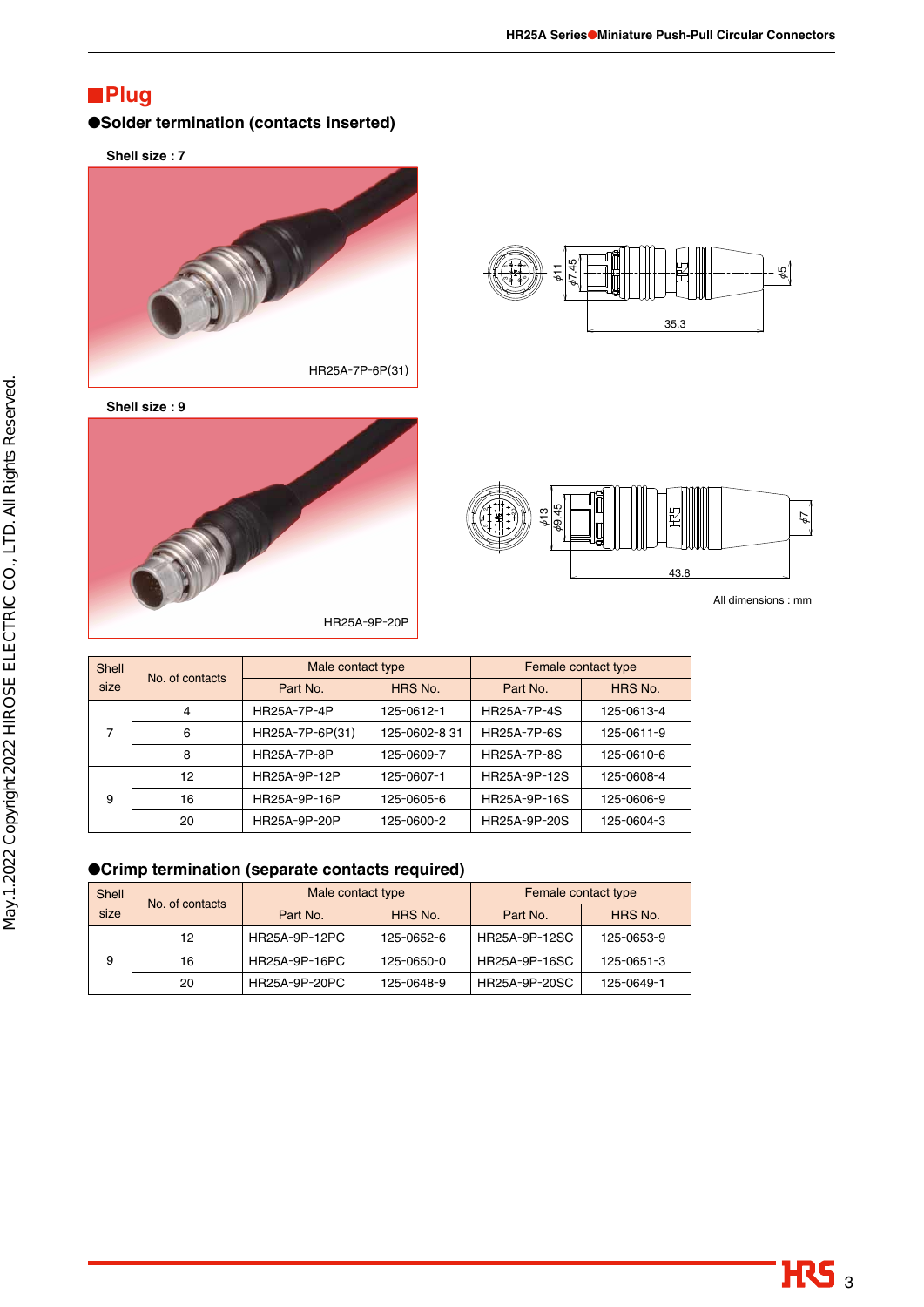### **Plug**

#### ●**Solder termination (contacts inserted)**

**Shell size : 7**



**Shell size : 9**







All dimensions : mm

| Shell<br>No. of contacts<br>size |    | Male contact type |              | Female contact type |            |  |
|----------------------------------|----|-------------------|--------------|---------------------|------------|--|
|                                  |    | Part No.          | HRS No.      | Part No.            | HRS No.    |  |
|                                  | 4  | HR25A-7P-4P       | 125-0612-1   | <b>HR25A-7P-4S</b>  | 125-0613-4 |  |
| 7                                | 6  | HR25A-7P-6P(31)   | 125-0602-831 | <b>HR25A-7P-6S</b>  | 125-0611-9 |  |
|                                  | 8  | HR25A-7P-8P       | 125-0609-7   | <b>HR25A-7P-8S</b>  | 125-0610-6 |  |
|                                  | 12 | HR25A-9P-12P      | 125-0607-1   | HR25A-9P-12S        | 125-0608-4 |  |
| 9                                | 16 | HR25A-9P-16P      | 125-0605-6   | HR25A-9P-16S        | 125-0606-9 |  |
|                                  | 20 | HR25A-9P-20P      | 125-0600-2   | HR25A-9P-20S        | 125-0604-3 |  |

●**Crimp termination (separate contacts required)**

| <b>Shell</b> | No. of contacts | Male contact type |            | Female contact type |            |  |
|--------------|-----------------|-------------------|------------|---------------------|------------|--|
| size         |                 | Part No.          | HRS No.    | Part No.            | HRS No.    |  |
|              | 12              | HR25A-9P-12PC     | 125-0652-6 | HR25A-9P-12SC       | 125-0653-9 |  |
| 9            | 16              | HR25A-9P-16PC     | 125-0650-0 | HR25A-9P-16SC       | 125-0651-3 |  |
|              | 20              | HR25A-9P-20PC     | 125-0648-9 | HR25A-9P-20SC       | 125-0649-1 |  |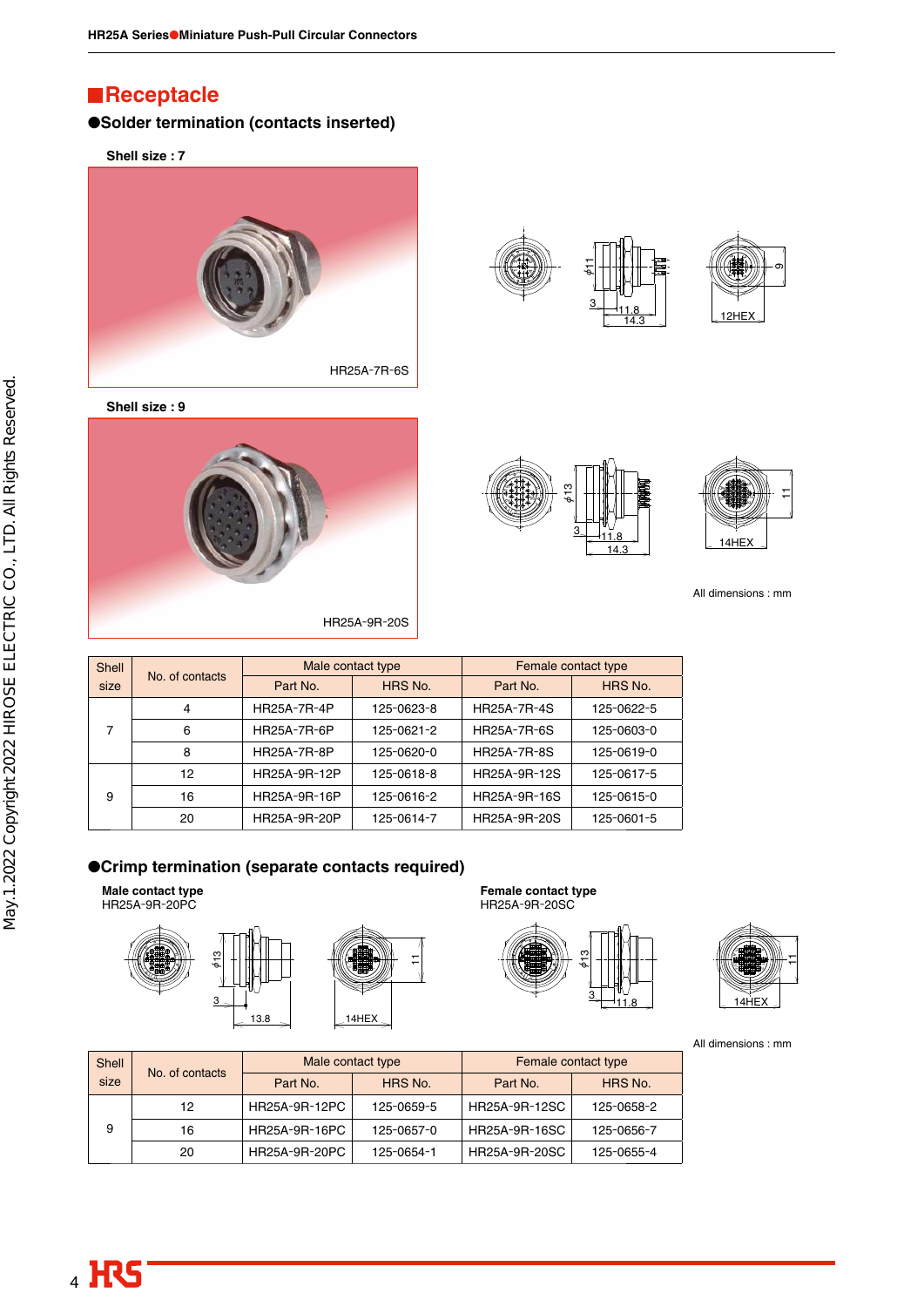### **Receptacle**

#### ●**Solder termination (contacts inserted)**

**Shell size : 7**



**Shell size : 9**









All dimensions : mm

| Shell |                 | Male contact type   |            | Female contact type |            |  |
|-------|-----------------|---------------------|------------|---------------------|------------|--|
| size  | No. of contacts | HRS No.<br>Part No. |            | Part No.            | HRS No.    |  |
|       | 4               | <b>HR25A-7R-4P</b>  | 125-0623-8 | <b>HR25A-7R-4S</b>  | 125-0622-5 |  |
| 7     | 6               | HR25A-7R-6P         | 125-0621-2 | <b>HR25A-7R-6S</b>  | 125-0603-0 |  |
|       | 8               | <b>HR25A-7R-8P</b>  | 125-0620-0 | <b>HR25A-7R-8S</b>  | 125-0619-0 |  |
|       | 12              | HR25A-9R-12P        | 125-0618-8 | HR25A-9R-12S        | 125-0617-5 |  |
| 9     | 16              | HR25A-9R-16P        | 125-0616-2 | HR25A-9R-16S        | 125-0615-0 |  |
|       | 20              | HR25A-9R-20P        | 125-0614-7 | HR25A-9R-20S        | 125-0601-5 |  |

#### ●**Crimp termination (separate contacts required)**

**Male contact type** HR25A-9R-20PC





**Female contact type** HR25A-9R-20SC





All dimensions : mm

| Shell | No. of contacts | Male contact type |            | Female contact type |            |  |
|-------|-----------------|-------------------|------------|---------------------|------------|--|
| size  |                 | Part No.          | HRS No.    | Part No.            | HRS No.    |  |
|       | 12              | HR25A-9R-12PC     | 125-0659-5 | HR25A-9R-12SC       | 125-0658-2 |  |
| 9     | 16              | HR25A-9R-16PC     | 125-0657-0 | HR25A-9R-16SC       | 125-0656-7 |  |
|       | 20              | HR25A-9R-20PC     | 125-0654-1 | HR25A-9R-20SC       | 125-0655-4 |  |

 $\overline{1}$ 

4 HRS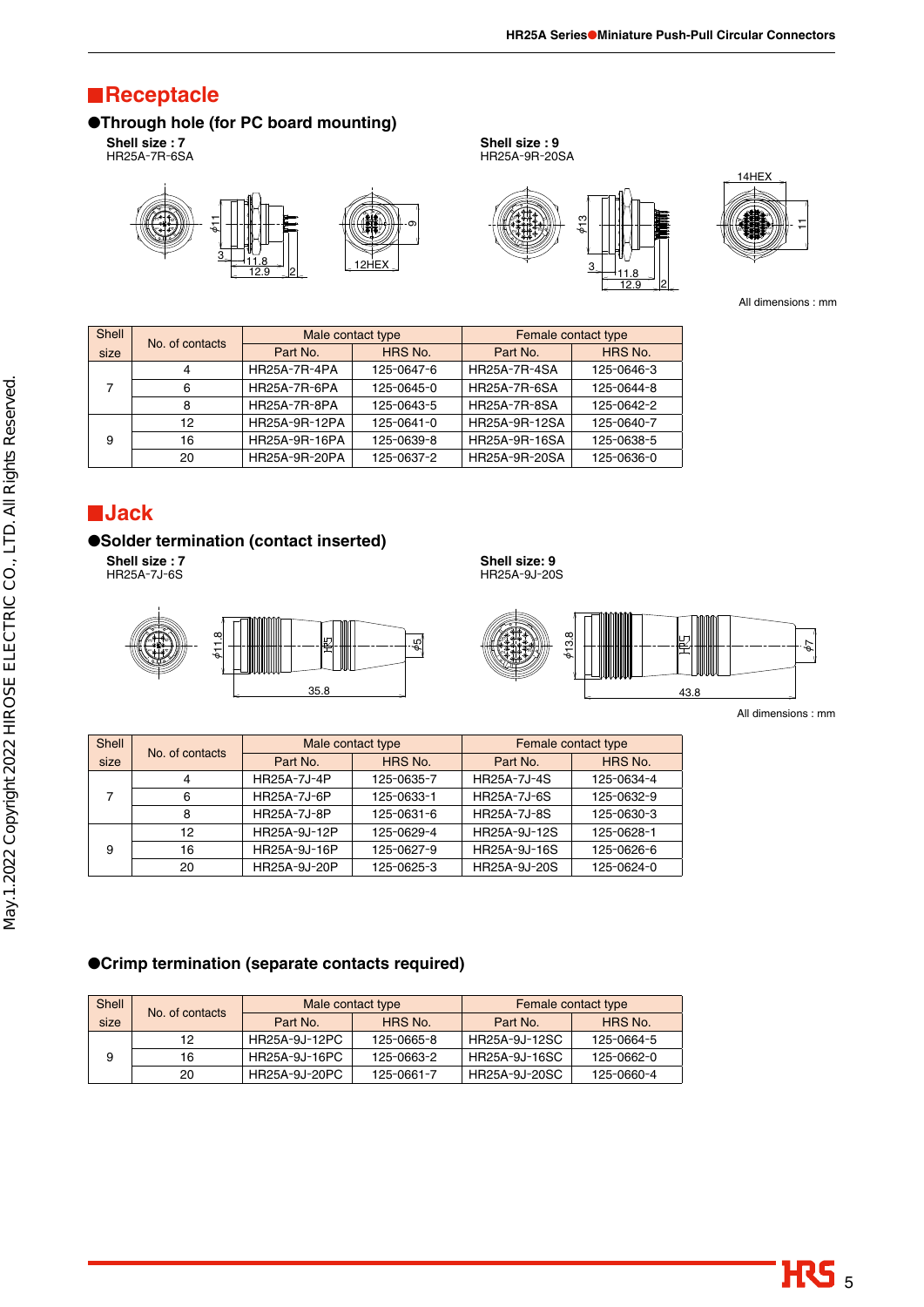$12.9$   $2$ 

### **Receptacle**

### ●**Through hole (for PC board mounting)**

**Shell size : 7** HR25A-7R-6SA







**Shell size : 9** HR25A-9R-20SA



All dimensions : mm

| <b>Shell</b> | No. of contacts | Male contact type   |            | Female contact type |            |  |  |  |
|--------------|-----------------|---------------------|------------|---------------------|------------|--|--|--|
| size         |                 | Part No.            | HRS No.    | Part No.            | HRS No.    |  |  |  |
|              | 4               | <b>HR25A-7R-4PA</b> | 125-0647-6 | <b>HR25A-7R-4SA</b> | 125-0646-3 |  |  |  |
|              | 6               | HR25A-7R-6PA        | 125-0645-0 | <b>HR25A-7R-6SA</b> | 125-0644-8 |  |  |  |
|              | 8               | HR25A-7R-8PA        | 125-0643-5 | <b>HR25A-7R-8SA</b> | 125-0642-2 |  |  |  |
|              | 12              | HR25A-9R-12PA       | 125-0641-0 | HR25A-9R-12SA       | 125-0640-7 |  |  |  |
| 9            | 16              | HR25A-9R-16PA       | 125-0639-8 | HR25A-9R-16SA       | 125-0638-5 |  |  |  |
|              | 20              | HR25A-9R-20PA       | 125-0637-2 | HR25A-9R-20SA       | 125-0636-0 |  |  |  |
|              |                 |                     |            |                     |            |  |  |  |

### **Jack**

#### ●**Solder termination (contact inserted)**

**Shell size : 7** HR25A-7J-6S



**Shell size: 9** HR25A-9J-20S



All dimensions : mm

| Shell | No. of contacts | Male contact type   |            | Female contact type |            |
|-------|-----------------|---------------------|------------|---------------------|------------|
| size  |                 | HRS No.<br>Part No. |            | Part No.            | HRS No.    |
|       | 4               | HR25A-7J-4P         | 125-0635-7 | <b>HR25A-7J-4S</b>  | 125-0634-4 |
| 7     | 6               | <b>HR25A-7J-6P</b>  | 125-0633-1 | <b>HR25A-7J-6S</b>  | 125-0632-9 |
|       | 8               | <b>HR25A-7J-8P</b>  | 125-0631-6 | <b>HR25A-7J-8S</b>  | 125-0630-3 |
| 9     | 12              | HR25A-9J-12P        | 125-0629-4 | HR25A-9J-12S        | 125-0628-1 |
|       | 16              | HR25A-9J-16P        | 125-0627-9 | HR25A-9J-16S        | 125-0626-6 |
|       | 20              | HR25A-9J-20P        | 125-0625-3 | HR25A-9J-20S        | 125-0624-0 |

#### ●**Crimp termination (separate contacts required)**

| Shell |                 |               | Male contact type | Female contact type |            |  |
|-------|-----------------|---------------|-------------------|---------------------|------------|--|
| size  | No. of contacts | Part No.      | HRS No.           | Part No.            | HRS No.    |  |
|       | 12              | HR25A-9J-12PC | 125-0665-8        | HR25A-9J-12SC       | 125-0664-5 |  |
| 9     | 16              | HR25A-9J-16PC | 125-0663-2        | HR25A-9J-16SC       | 125-0662-0 |  |
|       | 20              | HR25A-9J-20PC | 125-0661-7        | HR25A-9J-20SC       | 125-0660-4 |  |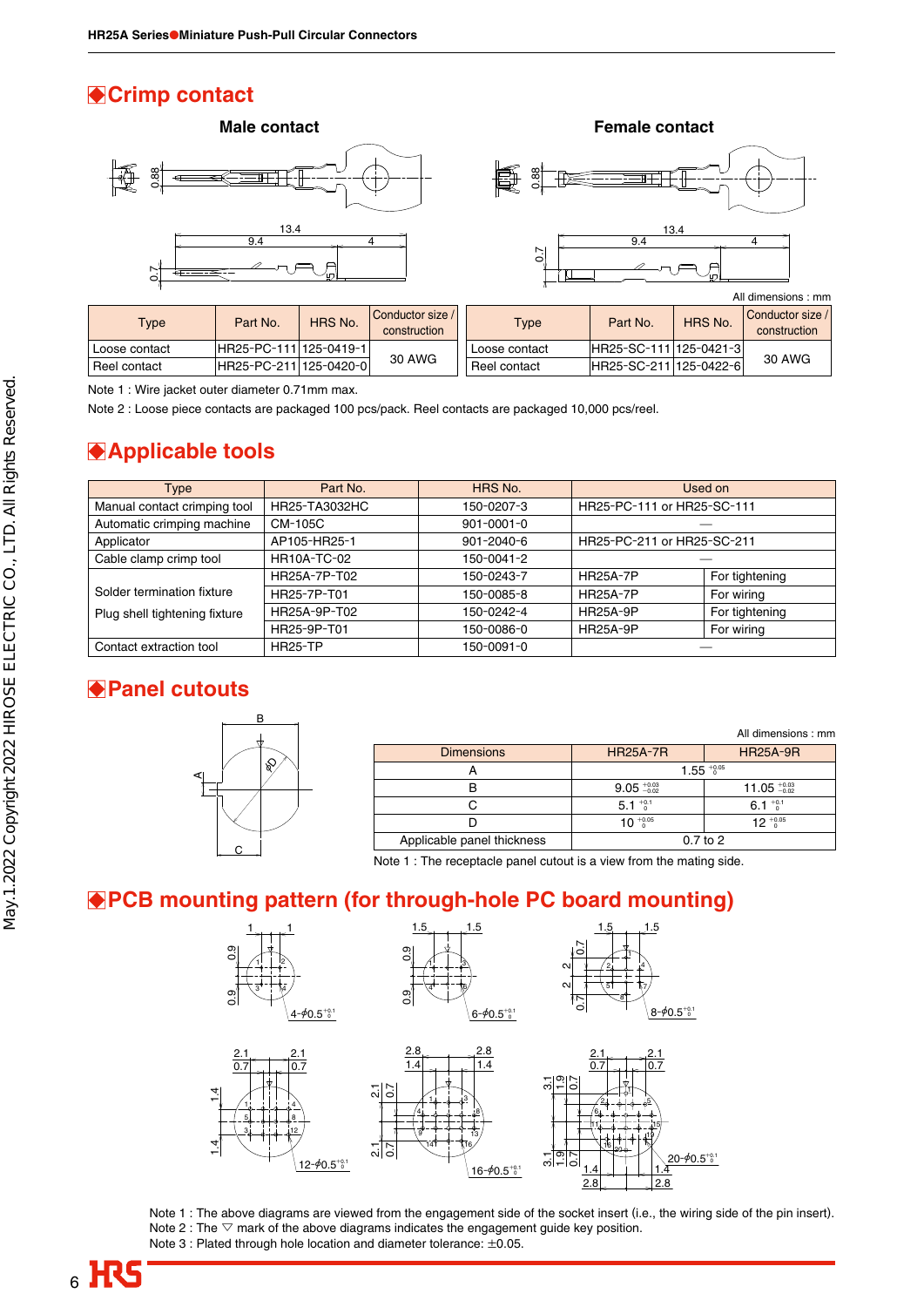## **Crimp contact**



### **Applicable tools**

| 0.88                                                                                                                       |                                                                                                                                                                        |                    |                                  |                   |                            |              |                                  |
|----------------------------------------------------------------------------------------------------------------------------|------------------------------------------------------------------------------------------------------------------------------------------------------------------------|--------------------|----------------------------------|-------------------|----------------------------|--------------|----------------------------------|
| $\overline{0}$                                                                                                             | 13.4<br>9.4                                                                                                                                                            |                    | 4                                | 0.7               | 9.4                        | 13.4         | $\overline{4}$                   |
|                                                                                                                            |                                                                                                                                                                        |                    |                                  |                   |                            |              | All dimensions : mm              |
| <b>Type</b>                                                                                                                | Part No.                                                                                                                                                               | HRS No.            | Conductor size /<br>construction | <b>Type</b>       | Part No.                   | HRS No.      | Conductor size /<br>construction |
| Loose contact                                                                                                              | HR25-PC-111 125-0419-1                                                                                                                                                 |                    |                                  | Loose contact     | HR25-SC-111                | 125-0421-3   |                                  |
| Reel contact                                                                                                               | HR25-PC-211 125-0420-0                                                                                                                                                 |                    | 30 AWG                           | Reel contact      | HR25-SC-211 125-0422-6     |              | 30 AWG                           |
| Note 2 : Loose piece contacts are packaged 100 pcs/pack. Reel contacts are packaged 10,000 pcs/reel.<br>● Applicable tools |                                                                                                                                                                        |                    |                                  |                   |                            |              |                                  |
| <b>Type</b>                                                                                                                |                                                                                                                                                                        | Part No.           |                                  | HRS No.           |                            | Used on      |                                  |
| Manual contact crimping tool                                                                                               |                                                                                                                                                                        | HR25-TA3032HC      |                                  | 150-0207-3        | HR25-PC-111 or HR25-SC-111 |              |                                  |
| Automatic crimping machine                                                                                                 | CM-105C                                                                                                                                                                |                    |                                  | 901-0001-0        |                            |              |                                  |
| Applicator                                                                                                                 |                                                                                                                                                                        | AP105-HR25-1       |                                  | 901-2040-6        | HR25-PC-211 or HR25-SC-211 |              |                                  |
| Cable clamp crimp tool                                                                                                     |                                                                                                                                                                        | <b>HR10A-TC-02</b> |                                  | 150-0041-2        |                            |              |                                  |
|                                                                                                                            |                                                                                                                                                                        | HR25A-7P-T02       |                                  | 150-0243-7        | <b>HR25A-7P</b>            |              | For tightening                   |
| Solder termination fixture                                                                                                 |                                                                                                                                                                        | HR25-7P-T01        |                                  | 150-0085-8        | <b>HR25A-7P</b>            | For wiring   |                                  |
| Plug shell tightening fixture                                                                                              |                                                                                                                                                                        | HR25A-9P-T02       |                                  | 150-0242-4        | <b>HR25A-9P</b>            |              | For tightening                   |
|                                                                                                                            |                                                                                                                                                                        | HR25-9P-T01        |                                  | 150-0086-0        | <b>HR25A-9P</b>            | For wiring   |                                  |
| Contact extraction tool                                                                                                    | <b>HR25-TP</b>                                                                                                                                                         |                    |                                  | 150-0091-0        |                            |              |                                  |
| <b>◆ Panel cutouts</b><br>в<br>All dimensions : mm                                                                         |                                                                                                                                                                        |                    |                                  |                   |                            |              |                                  |
|                                                                                                                            |                                                                                                                                                                        |                    |                                  | <b>Dimensions</b> | <b>HR25A-7R</b>            |              | <b>HR25A-9R</b>                  |
| ନ୍ତ                                                                                                                        |                                                                                                                                                                        |                    | Α                                |                   | $1.55^{+0.05}_{0}$         |              |                                  |
|                                                                                                                            |                                                                                                                                                                        |                    |                                  | B                 | $9.05 \frac{+0.03}{-0.02}$ |              | $11.05 + 0.03$                   |
|                                                                                                                            |                                                                                                                                                                        |                    |                                  | $\mathsf{C}$      | $5.1^{+0.1}_{-0}$          |              | $6.1^{+0.1}_{-0}$                |
|                                                                                                                            |                                                                                                                                                                        |                    |                                  | D                 | $10^{+0.05}$               |              | $12^{+0.05}_{-0}$                |
|                                                                                                                            |                                                                                                                                                                        |                    |                                  |                   |                            | $0.7$ to $2$ |                                  |
|                                                                                                                            | Applicable panel thickness<br>C<br>Note 1 : The receptacle panel cutout is a view from the mating side.<br>● PCB mounting pattern (for through-hole PC board mounting) |                    |                                  |                   |                            |              |                                  |

### **Panel cutouts**



|                            |                    | All dimensions: mm       |  |
|----------------------------|--------------------|--------------------------|--|
| <b>Dimensions</b>          | <b>HR25A-7R</b>    | <b>HR25A-9R</b>          |  |
|                            | $1.55^{+0.05}_{0}$ |                          |  |
|                            | $9.05 \pm 0.03$    | 11.05 $^{+0.03}_{-0.02}$ |  |
|                            | 5.1 $^{+0.1}_{-0}$ | $6.1^{+0.1}_{-0.1}$      |  |
|                            | $10^{+0.05}$       | $12^{+0.05}$             |  |
| Applicable panel thickness | $0.7$ to $2$       |                          |  |











Note 1 : The above diagrams are viewed from the engagement side of the socket insert (i.e., the wiring side of the pin insert). Note 2 : The  $\triangledown$  mark of the above diagrams indicates the engagement guide key position. Note 3 : Plated through hole location and diameter tolerance: ±0.05.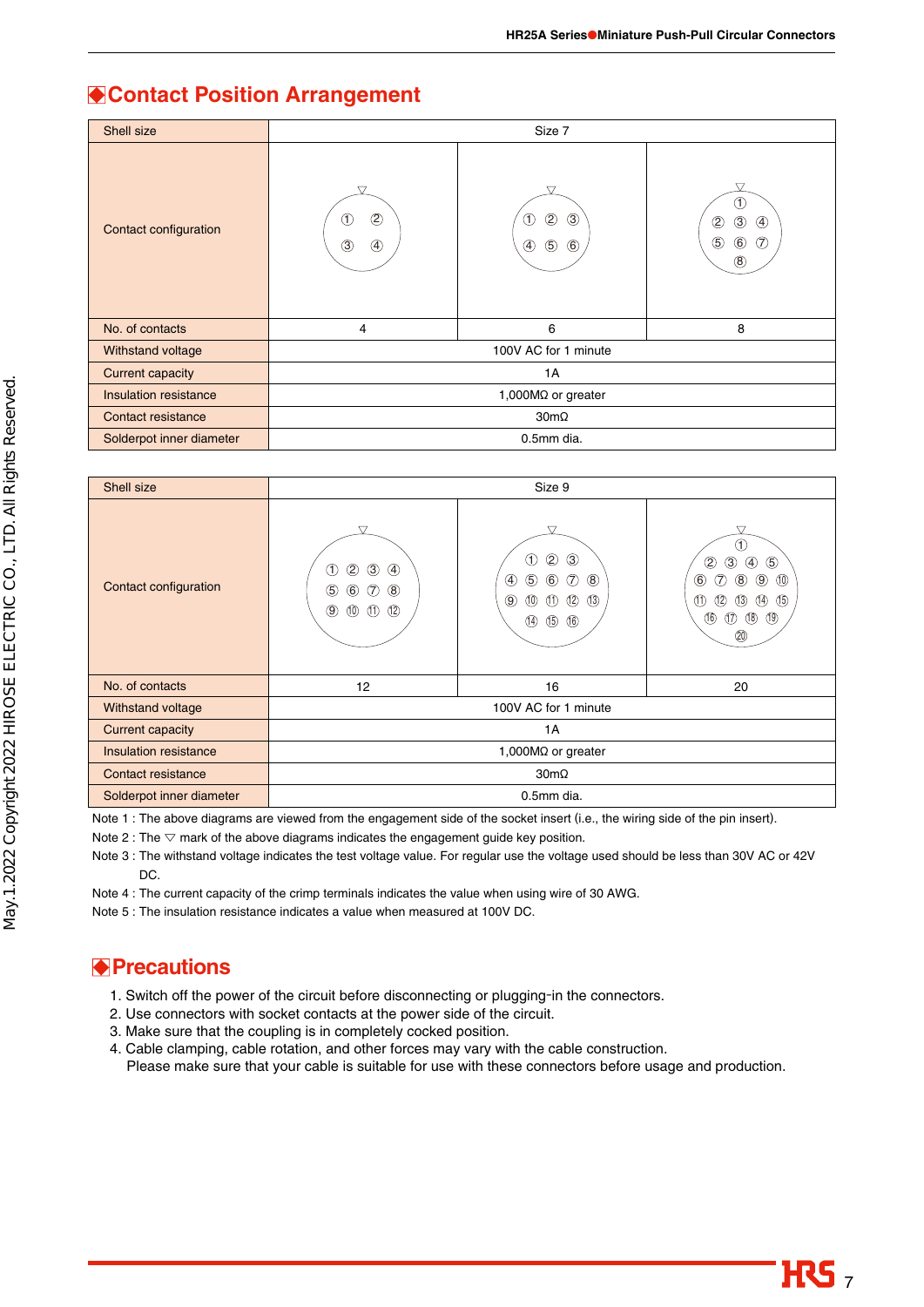### **Contact Position Arrangement**

| Shell size               | Size 7                                                       |                                                                                                         |                                                                                                                |
|--------------------------|--------------------------------------------------------------|---------------------------------------------------------------------------------------------------------|----------------------------------------------------------------------------------------------------------------|
| Contact configuration    | ▽<br>$^{\circledR}$<br>(T)<br>$\circled{3}$<br>$\circled{4}$ | ▽<br>$\circled{3}$<br>$^{\circledR}$<br>$\circled{f}$<br>$\circledast$<br>$\circledS$<br>$^{\circledR}$ | ▽<br>O<br>$\circled{3}$<br>$^{\circledR}$<br>$\circled{4}$<br>$\circledS$<br>$\circledast$<br>T<br>$\circledR$ |
| No. of contacts          | 4                                                            | 6                                                                                                       | 8                                                                                                              |
| Withstand voltage        | 100V AC for 1 minute                                         |                                                                                                         |                                                                                                                |
| <b>Current capacity</b>  | 1A                                                           |                                                                                                         |                                                                                                                |
| Insulation resistance    | 1,000MQ or greater                                           |                                                                                                         |                                                                                                                |
| Contact resistance       | $30m\Omega$                                                  |                                                                                                         |                                                                                                                |
| Solderpot inner diameter | 0.5mm dia.                                                   |                                                                                                         |                                                                                                                |

| Shell size               | Size 9                                                                                                                                                                     |                                                                                                                                                                                                                                      |                                                                                                                                                                                                                                 |
|--------------------------|----------------------------------------------------------------------------------------------------------------------------------------------------------------------------|--------------------------------------------------------------------------------------------------------------------------------------------------------------------------------------------------------------------------------------|---------------------------------------------------------------------------------------------------------------------------------------------------------------------------------------------------------------------------------|
| Contact configuration    | ▽<br>$\circledS$<br>$\circled{4}$<br>$^{\circledR}$<br>ு<br>$\circledast$<br>$^{\circledR}$<br>$\circledS$<br>(7)<br>$\circledcirc$<br>$^{\circledR}$<br>$\times$ $\times$ | 77<br>$\circled{3}$<br>$^{\circledR}$<br>(1)<br>$\circledS$<br>$\circledR$<br>$\circled7$<br>④<br>$\circledast$<br>$^{\circledR}$<br>$\circled{3}$<br>(12)<br>$^{\circledR}$<br>(1)<br>$\circled{4}$<br>$\circled{5}$<br>$\circled6$ | Œ<br>$\circledS$<br>②<br>$\circled{4}$<br>③<br>$\circled6$<br>(7)<br>(10)<br>$\circled{8}$<br>$\circledcirc$<br>$\circ$<br>(12)<br>(14)<br>(1)<br>(13)<br>$\circledR$<br>$^{\circledR}$<br>$\circled{1}$<br>$^{\circledR}$<br>⑳ |
| No. of contacts          | 12                                                                                                                                                                         | 16                                                                                                                                                                                                                                   | 20                                                                                                                                                                                                                              |
| Withstand voltage        | 100V AC for 1 minute                                                                                                                                                       |                                                                                                                                                                                                                                      |                                                                                                                                                                                                                                 |
| <b>Current capacity</b>  | 1A                                                                                                                                                                         |                                                                                                                                                                                                                                      |                                                                                                                                                                                                                                 |
| Insulation resistance    | 1,000MQ or greater                                                                                                                                                         |                                                                                                                                                                                                                                      |                                                                                                                                                                                                                                 |
| Contact resistance       | $30m\Omega$                                                                                                                                                                |                                                                                                                                                                                                                                      |                                                                                                                                                                                                                                 |
| Solderpot inner diameter | 0.5mm dia.                                                                                                                                                                 |                                                                                                                                                                                                                                      |                                                                                                                                                                                                                                 |

Note 1 : The above diagrams are viewed from the engagement side of the socket insert (i.e., the wiring side of the pin insert).

Note 2 : The  $\triangledown$  mark of the above diagrams indicates the engagement guide key position.

Note 3 : The withstand voltage indicates the test voltage value. For regular use the voltage used should be less than 30V AC or 42V DC.

Note 4 : The current capacity of the crimp terminals indicates the value when using wire of 30 AWG.

Note 5 : The insulation resistance indicates a value when measured at 100V DC.

### **Precautions**

- 1. Switch off the power of the circuit before disconnecting or plugging-in the connectors.
- 2. Use connectors with socket contacts at the power side of the circuit.
- 3. Make sure that the coupling is in completely cocked position.
- 4. Cable clamping, cable rotation, and other forces may vary with the cable construction. Please make sure that your cable is suitable for use with these connectors before usage and production.